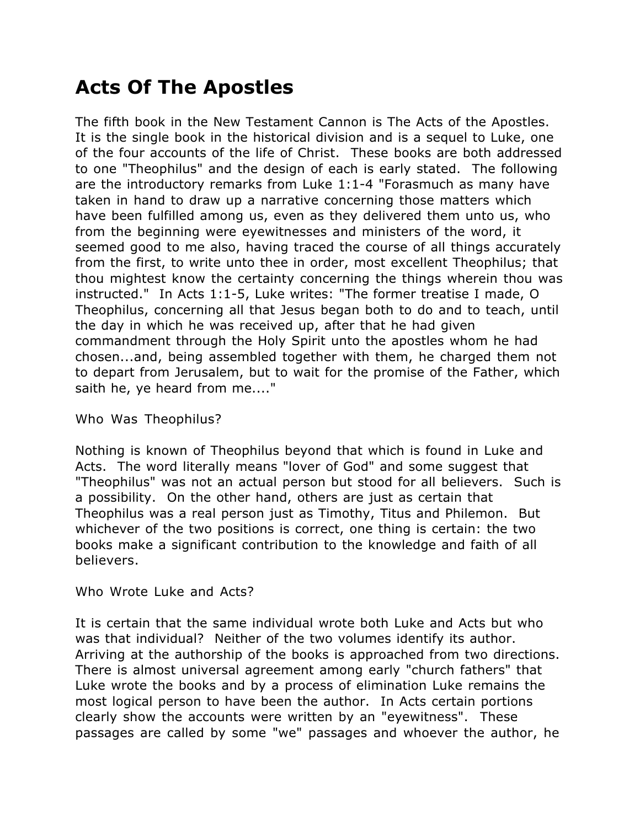# **Acts Of The Apostles**

The fifth book in the New Testament Cannon is The Acts of the Apostles. It is the single book in the historical division and is a sequel to Luke, one of the four accounts of the life of Christ. These books are both addressed to one "Theophilus" and the design of each is early stated. The following are the introductory remarks from Luke 1:1-4 "Forasmuch as many have taken in hand to draw up a narrative concerning those matters which have been fulfilled among us, even as they delivered them unto us, who from the beginning were eyewitnesses and ministers of the word, it seemed good to me also, having traced the course of all things accurately from the first, to write unto thee in order, most excellent Theophilus; that thou mightest know the certainty concerning the things wherein thou was instructed." In Acts 1:1-5, Luke writes: "The former treatise I made, O Theophilus, concerning all that Jesus began both to do and to teach, until the day in which he was received up, after that he had given commandment through the Holy Spirit unto the apostles whom he had chosen...and, being assembled together with them, he charged them not to depart from Jerusalem, but to wait for the promise of the Father, which saith he, ye heard from me...."

## Who Was Theophilus?

Nothing is known of Theophilus beyond that which is found in Luke and Acts. The word literally means "lover of God" and some suggest that "Theophilus" was not an actual person but stood for all believers. Such is a possibility. On the other hand, others are just as certain that Theophilus was a real person just as Timothy, Titus and Philemon. But whichever of the two positions is correct, one thing is certain: the two books make a significant contribution to the knowledge and faith of all believers.

## Who Wrote Luke and Acts?

It is certain that the same individual wrote both Luke and Acts but who was that individual? Neither of the two volumes identify its author. Arriving at the authorship of the books is approached from two directions. There is almost universal agreement among early "church fathers" that Luke wrote the books and by a process of elimination Luke remains the most logical person to have been the author. In Acts certain portions clearly show the accounts were written by an "eyewitness". These passages are called by some "we" passages and whoever the author, he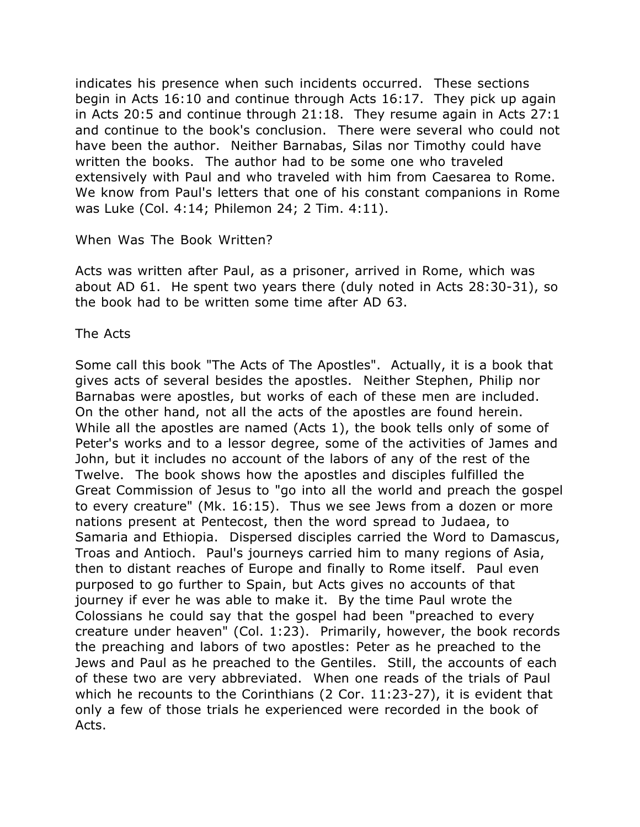indicates his presence when such incidents occurred. These sections begin in Acts 16:10 and continue through Acts 16:17. They pick up again in Acts 20:5 and continue through 21:18. They resume again in Acts 27:1 and continue to the book's conclusion. There were several who could not have been the author. Neither Barnabas, Silas nor Timothy could have written the books. The author had to be some one who traveled extensively with Paul and who traveled with him from Caesarea to Rome. We know from Paul's letters that one of his constant companions in Rome was Luke (Col. 4:14; Philemon 24; 2 Tim. 4:11).

### When Was The Book Written?

Acts was written after Paul, as a prisoner, arrived in Rome, which was about AD 61. He spent two years there (duly noted in Acts 28:30-31), so the book had to be written some time after AD 63.

### The Acts

Some call this book "The Acts of The Apostles". Actually, it is a book that gives acts of several besides the apostles. Neither Stephen, Philip nor Barnabas were apostles, but works of each of these men are included. On the other hand, not all the acts of the apostles are found herein. While all the apostles are named (Acts 1), the book tells only of some of Peter's works and to a lessor degree, some of the activities of James and John, but it includes no account of the labors of any of the rest of the Twelve. The book shows how the apostles and disciples fulfilled the Great Commission of Jesus to "go into all the world and preach the gospel to every creature" (Mk. 16:15). Thus we see Jews from a dozen or more nations present at Pentecost, then the word spread to Judaea, to Samaria and Ethiopia. Dispersed disciples carried the Word to Damascus, Troas and Antioch. Paul's journeys carried him to many regions of Asia, then to distant reaches of Europe and finally to Rome itself. Paul even purposed to go further to Spain, but Acts gives no accounts of that journey if ever he was able to make it. By the time Paul wrote the Colossians he could say that the gospel had been "preached to every creature under heaven" (Col. 1:23). Primarily, however, the book records the preaching and labors of two apostles: Peter as he preached to the Jews and Paul as he preached to the Gentiles. Still, the accounts of each of these two are very abbreviated. When one reads of the trials of Paul which he recounts to the Corinthians (2 Cor. 11:23-27), it is evident that only a few of those trials he experienced were recorded in the book of Acts.